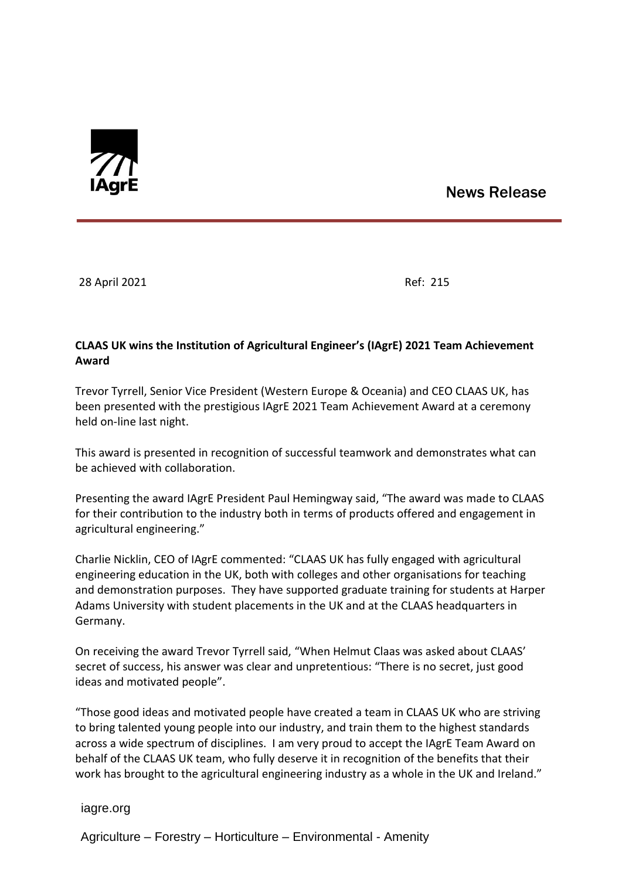

# News Release

28 April 2021 Ref: 215

## **CLAAS UK wins the Institution of Agricultural Engineer's (IAgrE) 2021 Team Achievement Award**

Trevor Tyrrell, Senior Vice President (Western Europe & Oceania) and CEO CLAAS UK, has been presented with the prestigious IAgrE 2021 Team Achievement Award at a ceremony held on-line last night.

This award is presented in recognition of successful teamwork and demonstrates what can be achieved with collaboration.

Presenting the award IAgrE President Paul Hemingway said, "The award was made to CLAAS for their contribution to the industry both in terms of products offered and engagement in agricultural engineering."

Charlie Nicklin, CEO of IAgrE commented: "CLAAS UK has fully engaged with agricultural engineering education in the UK, both with colleges and other organisations for teaching and demonstration purposes. They have supported graduate training for students at Harper Adams University with student placements in the UK and at the CLAAS headquarters in Germany.

On receiving the award Trevor Tyrrell said, "When Helmut Claas was asked about CLAAS' secret of success, his answer was clear and unpretentious: "There is no secret, just good ideas and motivated people".

"Those good ideas and motivated people have created a team in CLAAS UK who are striving to bring talented young people into our industry, and train them to the highest standards across a wide spectrum of disciplines. I am very proud to accept the IAgrE Team Award on behalf of the CLAAS UK team, who fully deserve it in recognition of the benefits that their work has brought to the agricultural engineering industry as a whole in the UK and Ireland."

iagre.org

Agriculture – Forestry – Horticulture – Environmental - Amenity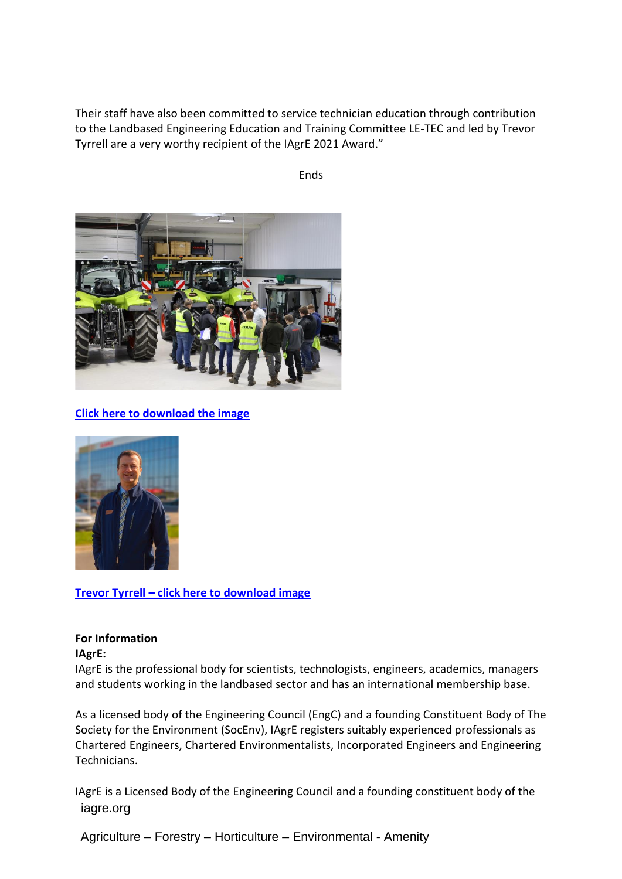Their staff have also been committed to service technician education through contribution to the Landbased Engineering Education and Training Committee LE-TEC and led by Trevor Tyrrell are a very worthy recipient of the IAgrE 2021 Award."

Ends



**[Click here to download the image](http://www.iagre.org/upload/1619595131.JPG)**



**Trevor Tyrrell – [click here to download image](http://www.iagre.org/upload/1619595216.jpg)**

## **For Information**

#### **IAgrE:**

IAgrE is the professional body for scientists, technologists, engineers, academics, managers and students working in the landbased sector and has an international membership base.

As a licensed body of the Engineering Council (EngC) and a founding Constituent Body of The Society for the Environment (SocEnv), IAgrE registers suitably experienced professionals as Chartered Engineers, Chartered Environmentalists, Incorporated Engineers and Engineering Technicians.

 iagre.org IAgrE is a Licensed Body of the Engineering Council and a founding constituent body of the

Agriculture – Forestry – Horticulture – Environmental - Amenity